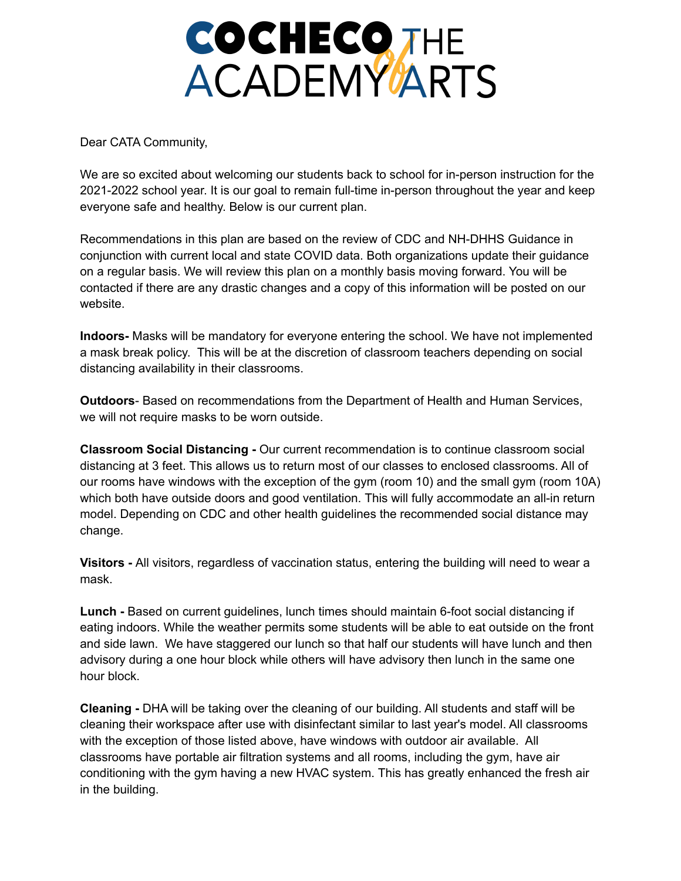## **COCHECOTHE ACADEMYARTS**

Dear CATA Community,

We are so excited about welcoming our students back to school for in-person instruction for the 2021-2022 school year. It is our goal to remain full-time in-person throughout the year and keep everyone safe and healthy. Below is our current plan.

Recommendations in this plan are based on the review of CDC and NH-DHHS Guidance in conjunction with current local and state COVID data. Both organizations update their guidance on a regular basis. We will review this plan on a monthly basis moving forward. You will be contacted if there are any drastic changes and a copy of this information will be posted on our website.

**Indoors-** Masks will be mandatory for everyone entering the school. We have not implemented a mask break policy. This will be at the discretion of classroom teachers depending on social distancing availability in their classrooms.

**Outdoors**- Based on recommendations from the Department of Health and Human Services, we will not require masks to be worn outside.

**Classroom Social Distancing -** Our current recommendation is to continue classroom social distancing at 3 feet. This allows us to return most of our classes to enclosed classrooms. All of our rooms have windows with the exception of the gym (room 10) and the small gym (room 10A) which both have outside doors and good ventilation. This will fully accommodate an all-in return model. Depending on CDC and other health guidelines the recommended social distance may change.

**Visitors -** All visitors, regardless of vaccination status, entering the building will need to wear a mask.

**Lunch -** Based on current guidelines, lunch times should maintain 6-foot social distancing if eating indoors. While the weather permits some students will be able to eat outside on the front and side lawn. We have staggered our lunch so that half our students will have lunch and then advisory during a one hour block while others will have advisory then lunch in the same one hour block.

**Cleaning -** DHA will be taking over the cleaning of our building. All students and staff will be cleaning their workspace after use with disinfectant similar to last year's model. All classrooms with the exception of those listed above, have windows with outdoor air available. All classrooms have portable air filtration systems and all rooms, including the gym, have air conditioning with the gym having a new HVAC system. This has greatly enhanced the fresh air in the building.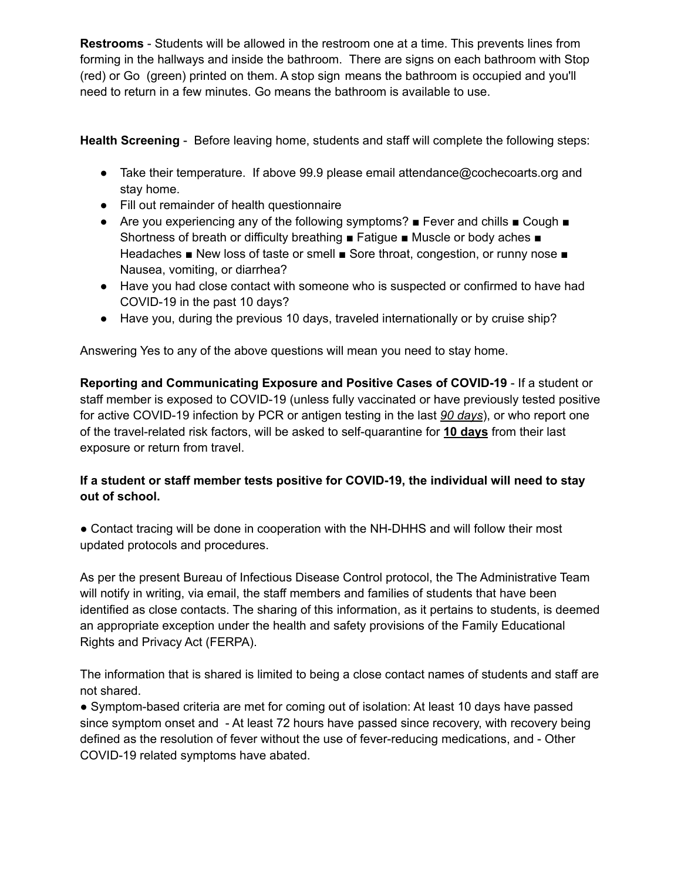**Restrooms** - Students will be allowed in the restroom one at a time. This prevents lines from forming in the hallways and inside the bathroom. There are signs on each bathroom with Stop (red) or Go (green) printed on them. A stop sign means the bathroom is occupied and you'll need to return in a few minutes. Go means the bathroom is available to use.

**Health Screening** - Before leaving home, students and staff will complete the following steps:

- Take their temperature. If above 99.9 please email attendance@cochecoarts.org and stay home.
- Fill out remainder of health questionnaire
- Are you experiencing any of the following symptoms? Fever and chills Cough Shortness of breath or difficulty breathing ■ Fatigue ■ Muscle or body aches ■ Headaches ■ New loss of taste or smell ■ Sore throat, congestion, or runny nose ■ Nausea, vomiting, or diarrhea?
- Have you had close contact with someone who is suspected or confirmed to have had COVID-19 in the past 10 days?
- Have you, during the previous 10 days, traveled internationally or by cruise ship?

Answering Yes to any of the above questions will mean you need to stay home.

**Reporting and Communicating Exposure and Positive Cases of COVID-19** - If a student or staff member is exposed to COVID-19 (unless fully vaccinated or have previously tested positive for active COVID-19 infection by PCR or antigen testing in the last *90 days*), or who report one of the travel-related risk factors, will be asked to self-quarantine for **10 days** from their last exposure or return from travel.

## **If a student or staff member tests positive for COVID-19, the individual will need to stay out of school.**

● Contact tracing will be done in cooperation with the NH-DHHS and will follow their most updated protocols and procedures.

As per the present Bureau of Infectious Disease Control protocol, the The Administrative Team will notify in writing, via email, the staff members and families of students that have been identified as close contacts. The sharing of this information, as it pertains to students, is deemed an appropriate exception under the health and safety provisions of the Family Educational Rights and Privacy Act (FERPA).

The information that is shared is limited to being a close contact names of students and staff are not shared.

● Symptom-based criteria are met for coming out of isolation: At least 10 days have passed since symptom onset and - At least 72 hours have passed since recovery, with recovery being defined as the resolution of fever without the use of fever-reducing medications, and - Other COVID-19 related symptoms have abated.